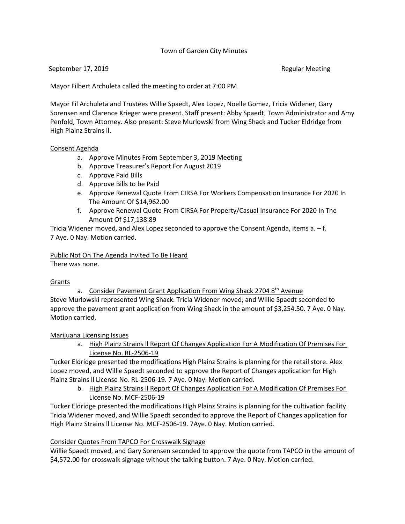## Town of Garden City Minutes

#### September 17, 2019 **Regular Meeting** September 17, 2019

Mayor Filbert Archuleta called the meeting to order at 7:00 PM.

Mayor Fil Archuleta and Trustees Willie Spaedt, Alex Lopez, Noelle Gomez, Tricia Widener, Gary Sorensen and Clarence Krieger were present. Staff present: Abby Spaedt, Town Administrator and Amy Penfold, Town Attorney. Also present: Steve Murlowski from Wing Shack and Tucker Eldridge from High Plainz Strains ll.

#### Consent Agenda

- a. Approve Minutes From September 3, 2019 Meeting
- b. Approve Treasurer's Report For August 2019
- c. Approve Paid Bills
- d. Approve Bills to be Paid
- e. Approve Renewal Quote From CIRSA For Workers Compensation Insurance For 2020 In The Amount Of \$14,962.00
- f. Approve Renewal Quote From CIRSA For Property/Casual Insurance For 2020 In The Amount Of \$17,138.89

Tricia Widener moved, and Alex Lopez seconded to approve the Consent Agenda, items a. – f. 7 Aye. 0 Nay. Motion carried.

#### Public Not On The Agenda Invited To Be Heard There was none.

Grants

a. Consider Pavement Grant Application From Wing Shack 2704 8<sup>th</sup> Avenue Steve Murlowski represented Wing Shack. Tricia Widener moved, and Willie Spaedt seconded to approve the pavement grant application from Wing Shack in the amount of \$3,254.50. 7 Aye. 0 Nay. Motion carried.

Marijuana Licensing Issues

a. High Plainz Strains ll Report Of Changes Application For A Modification Of Premises For License No. RL-2506-19

Tucker Eldridge presented the modifications High Plainz Strains is planning for the retail store. Alex Lopez moved, and Willie Spaedt seconded to approve the Report of Changes application for High Plainz Strains ll License No. RL-2506-19. 7 Aye. 0 Nay. Motion carried.

b. High Plainz Strains ll Report Of Changes Application For A Modification Of Premises For License No. MCF-2506-19

Tucker Eldridge presented the modifications High Plainz Strains is planning for the cultivation facility. Tricia Widener moved, and Willie Spaedt seconded to approve the Report of Changes application for High Plainz Strains ll License No. MCF-2506-19. 7Aye. 0 Nay. Motion carried.

#### Consider Quotes From TAPCO For Crosswalk Signage

Willie Spaedt moved, and Gary Sorensen seconded to approve the quote from TAPCO in the amount of \$4,572.00 for crosswalk signage without the talking button. 7 Aye. 0 Nay. Motion carried.